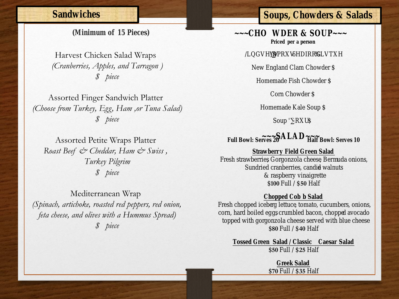### **Sandwiches**

**(Minimum of 15 Pieces)**

Harvest Chicken Salad Wraps *(Cranberries, Apples, and Tarragon ) \$ piece* 

Assorted Finger Sandwich Platter *(Choose from Turkey, Egg, Ham ,or Tuna Salad) \$ piece* 

Assorted Petite Wraps Platter *Roast Beef & Cheddar, Ham & Swiss , Turkey Pilgrim \$ piece* 

Mediterranean Wrap *(Spinach, artichoke, roasted red peppers, red onion, feta cheese, and olives with a Hummus Spread) \$ piece* 

## **Soups, Chowders & Salads**

**~~~CHO WDER & SOUP~~~ Priced per a person** 

**/LQGVH\·V )DPRXV 6HDIRRG %LVTXH**

New England Clam Chowder \$

Homemade Fish Chowder \$

Corn Chowder \$

Homemade Kale Soup \$

Soup  $\cdots$  R X U

**~~~SALAD~~~ Full Bowl: Serves 20 Half Bowl: Serves 10**

**Strawberr Field Green Salad** Fresh strawberres gonzola cheese rada onions, Sundried cranberries, candienuts & raspberry vinaigrette \$**100**Full / \$**50** Half

**Chopped Cob Salad** Fresh chopped igrephettuctomato, cucumbers, onions, corn, hard boiled equambled bacon, choppe cado topped with gorgonzola cheese served with blue chee \$**80**Full / \$**40** Half

**Tossed Green Salad / Classine san Salad** \$**50**Full / \$**25** Half

> **Greek Salad**  \$**70**Full / \$**35** Half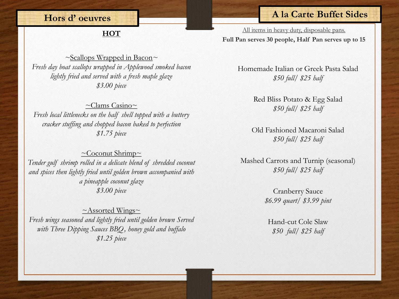### **Hors d' oeuvres**

# **HOT**

#### *~*Scallops Wrapped in Bacon*~ Fresh day boat scallops wrapped in Applewood smoked bacon lightly fried and served with a fresh maple glaze \$3.00 piece*

 $\sim$ Clams Casino $\sim$ *Fresh local littlenecks on the half shell topped with a buttery cracker stuffing and chopped bacon baked to perfection \$1.75 piece*

 $\sim$ Coconut Shrimp $\sim$ *Tender gulf shrimp rolled in a delicate blend of shredded coconut and spices then lightly fried until golden brown accompanied with a pineapple coconut glaze \$3.00 piece*

 $~\sim$ Assorted Wings $\sim$ *Fresh wings seasoned and lightly fried until golden brown Served with Three Dipping Sauces BBQ, honey gold and buffalo \$1.25 piece*

### **A la Carte Buffet Sides**

All items in heavy duty, disposable pans. **Full Pan serves 30 people, Half Pan serves up to 15**

> Homemade Italian or Greek Pasta Salad *\$50 full/ \$25 half*

> > Red Bliss Potato & Egg Salad *\$50 full/ \$25 half*

Old Fashioned Macaroni Salad *\$50 full/ \$25 half*

Mashed Carrots and Turnip (seasonal) *\$50 full/ \$25 half*

> Cranberry Sauce *\$6.99 quart/ \$3.99 pint*

Hand-cut Cole Slaw *\$50 full/ \$25 half*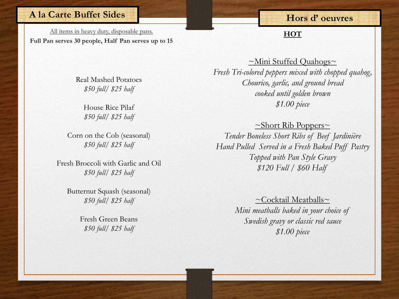### **A la Carte Buffet Sides**

All items in heavy duty, disposable pans. **Full Pan serves 30 people, Half Pan serves up to 15**

## **Hors d' oeuvres**

**HOT**

Real Mashed Potatoes *\$50 full/ \$25 half*

> House Rice Pilaf *\$50 full/ \$25 half*

Corn on the Cob (seasonal) *\$50 full/ \$25 half*

Fresh Broccoli with Garlic and Oil *\$50 full/ \$25 half*

Butternut Squash (seasonal) *\$50 full/ \$25 half*

> Fresh Green Beans *\$50 full/ \$25 half*

 $~\simeq$ Mini Stuffed Quahogs $\sim$ *Fresh Tri-colored peppers mixed with chopped quahog, Chourico, garlic, and ground bread cooked until golden brown \$1.00 piece*

 $\sim$ Short Rib Poppers $\sim$ *Tender Boneless Short Ribs of Beef Jardinière Hand Pulled Served in a Fresh Baked Puff Pastry Topped with Pan Style Gravy \$120 Full / \$60 Half* 

> $\sim$ Cocktail Meatballs $\sim$ *Mini meatballs baked in your choice of Swedish gravy or classic red sauce \$1.00 piece*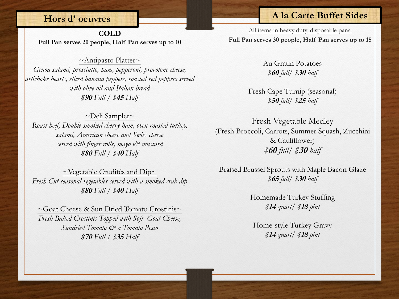#### **Hors d' oeuvres**

**COLD Full Pan serves 20 people, Half Pan serves up to 10**

 $~\sim$ Antipasto Platter $\sim$ *Genoa salami, prosciutto, ham, pepperoni, provolone cheese, artichoke hearts, sliced banana peppers, roasted red peppers served with olive oil and Italian bread \$***<sup>90</sup>** *Full / \$***<sup>45</sup>** *Half*

 $\sim$ Deli Sampler $\sim$ *Roast beef, Double smoked cherry ham, oven roasted turkey, salami, American cheese and Swiss cheese served with finger rolls, mayo & mustard \$***<sup>80</sup>** *Full / \$***40** *Half* 

 $\sim$ Vegetable Crudités and Dip $\sim$ *Fresh Cut seasonal vegetables served with a smoked crab dip \$***<sup>80</sup>** *Full / \$***<sup>40</sup>** *Half* 

~Goat Cheese & Sun Dried Tomato Crostinis~ *Fresh Baked Crostinis Topped with Soft Goat Cheese, Sundried Tomato & a Tomato Pesto \$***<sup>70</sup>** *Full / \$***<sup>35</sup>** *Half* 

### **A la Carte Buffet Sides**

All items in heavy duty, disposable pans. **Full Pan serves 30 people, Half Pan serves up to 15**

> Au Gratin Potatoes *\$***<sup>60</sup>** *full/ \$***<sup>30</sup>** *half*

Fresh Cape Turnip (seasonal) *\$***<sup>50</sup>** *full/ \$***<sup>25</sup>** *half*

Fresh Vegetable Medley (Fresh Broccoli, Carrots, Summer Squash, Zucchini & Cauliflower) *\$***<sup>60</sup>** *full/ \$***<sup>30</sup>** *half*

Braised Brussel Sprouts with Maple Bacon Glaze *\$***<sup>65</sup>** *full/ \$***<sup>30</sup>** *half*

> Homemade Turkey Stuffing *\$***<sup>14</sup>** *quart/ \$***<sup>18</sup>** *pint*

Home-style Turkey Gravy *\$***<sup>14</sup>** *quart/ \$***18** *pint*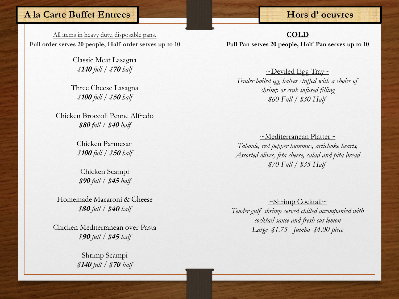### **A la Carte Buffet Entrees**

All items in heavy duty, disposable pans. **Full order serves 20 people, Half order serves up to 10**

> Classic Meat Lasagna *\$***<sup>140</sup>** *full / \$***<sup>70</sup>** *half*

Three Cheese Lasagna *\$***<sup>100</sup>** *full / \$***<sup>50</sup>** *half*

Chicken Broccoli Penne Alfredo *\$***<sup>80</sup>** *full / \$***<sup>40</sup>** *half*

> Chicken Parmesan *\$***<sup>100</sup>** *full / \$***<sup>50</sup>** *half*

Chicken Scampi *\$***90** *full / \$***45** *half*

Homemade Macaroni & Cheese *\$*<sup>80</sup> *full / \$*40 *half*

Chicken Mediterranean over Pasta *\$*<sup>90</sup> *full / \$***<sup>4</sup>**<sup>5</sup> *half*

> Shrimp Scampi *\$***<sup>140</sup>** *full / \$***<sup>70</sup>** *half*

**Full Pan serves 20 people, Half Pan serves up to 10 COLD**

 $\sim$ Deviled Egg Tray $\sim$ *Tender boiled egg halves stuffed with a choice of shrimp or crab infused filling \$60 Full / \$30 Half* 

~Mediterranean Platter~ *Taboule, red pepper hummus, artichoke hearts, Assorted olives, feta cheese, salad and pita bread \$70 Full / \$35 Half* 

~Shrimp Cocktail~ *Tender gulf shrimp served chilled accompanied with cocktail sauce and fresh cut lemon Large \$1.75 Jumbo \$4.00 piece*

### **Hors d' oeuvres**